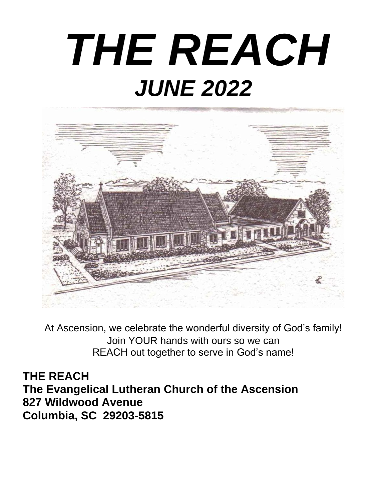# *THE REACH JUNE 2022*



At Ascension, we celebrate the wonderful diversity of God's family! Join YOUR hands with ours so we can REACH out together to serve in God's name!

**THE REACH The Evangelical Lutheran Church of the Ascension 827 Wildwood Avenue Columbia, SC 29203-5815**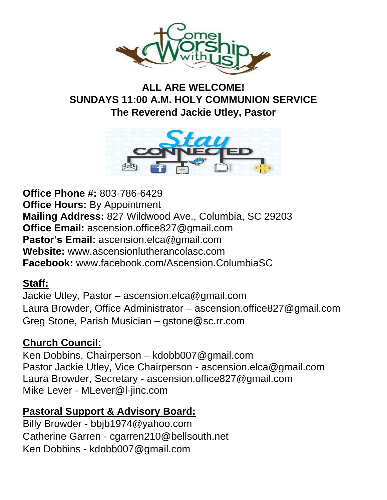

### **ALL ARE WELCOME! SUNDAYS 11:00 A.M. HOLY COMMUNION SERVICE The Reverend Jackie Utley, Pastor**



**Office Phone #:** 803-786-6429 **Office Hours: By Appointment Mailing Address:** 827 Wildwood Ave., Columbia, SC 29203 **Office Email:** [ascension.office827@gmail.com](mailto:ascension.office827@gmail.com) **Pastor's Email:** [ascension.elca@gmail.com](mailto:ascension.elca@gmail.com) **Website:** www.ascensionlutherancolasc.com **Facebook:** [www.facebook.com/Ascension.ColumbiaSC](http://www.facebook.com/Ascenion.ColumbiaSC)

### **Staff:**

Jackie Utley, Pastor – [ascension.elca@gmail.com](mailto:ascension.elca@gmail.com) Laura Browder, Office Administrator – [ascension.office827@gmail.com](mailto:ascension.office827@gmail.com) Greg Stone, Parish Musician – [gstone@sc.rr.com](mailto:gstone@sc.rr.com)

### **Church Council:**

Ken Dobbins, Chairperson – kdobb007@gmail.com Pastor Jackie Utley, Vice Chairperson - [ascension.elca@gmail.com](mailto:ascension.elca@gmail.com) Laura Browder, Secretary - [ascension.office827@gmail.com](mailto:ascension.office827@gmail.com) Mike Lever - [MLever@l-jinc.com](mailto:MLever@l-jinc.com)

### **Pastoral Support & Advisory Board:**

Billy Browder - bbjb1974@yahoo.com Catherine Garren - cgarren210@bellsouth.net Ken Dobbins - [kdobb007@gmail.com](mailto:kdobb007@gmail.com)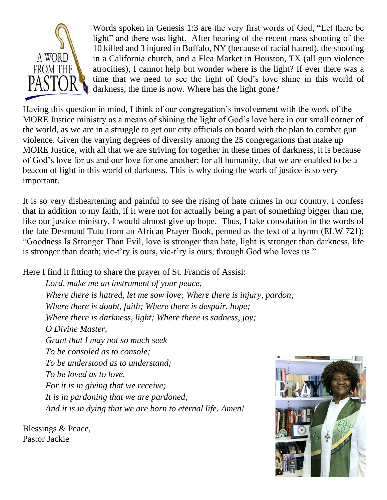

Words spoken in Genesis 1:3 are the very first words of God, "Let there be light" and there was light. After hearing of the recent mass shooting of the 10 killed and 3 injured in Buffalo, NY (because of racial hatred), the shooting in a California church, and a Flea Market in Houston, TX (all gun violence atrocities), I cannot help but wonder where is the light? If ever there was a time that we need to see the light of God's love shine in this world of darkness, the time is now. Where has the light gone?

Having this question in mind, I think of our congregation's involvement with the work of the MORE Justice ministry as a means of shining the light of God's love here in our small corner of the world, as we are in a struggle to get our city officials on board with the plan to combat gun violence. Given the varying degrees of diversity among the 25 congregations that make up MORE Justice, with all that we are striving for together in these times of darkness, it is because of God's love for us and our love for one another; for all humanity, that we are enabled to be a beacon of light in this world of darkness. This is why doing the work of justice is so very important.

It is so very disheartening and painful to see the rising of hate crimes in our country. I confess that in addition to my faith, if it were not for actually being a part of something bigger than me, like our justice ministry, I would almost give up hope. Thus, I take consolation in the words of the late Desmund Tutu from an African Prayer Book, penned as the text of a hymn (ELW 721); "Goodness Is Stronger Than Evil, love is stronger than hate, light is stronger than darkness, life is stronger than death; vic-t'ry is ours, vic-t'ry is ours, through God who loves us."

Here I find it fitting to share the prayer of St. Francis of Assisi:

*Lord, make me an instrument of your peace, Where there is hatred, let me sow love; Where there is injury, pardon; Where there is doubt, [faith;](https://www.crosswalk.com/faith/) Where there is despair, hope; Where there is darkness, light; Where there is sadness, joy; O Divine Master, Grant that I may not so much seek To be consoled as to console; To be understood as to understand; To be loved as to love. For it is in giving that we receive; It is in pardoning that we are pardoned; And it is in dying that we are born to eternal life. Amen!*

Blessings & Peace, Pastor Jackie

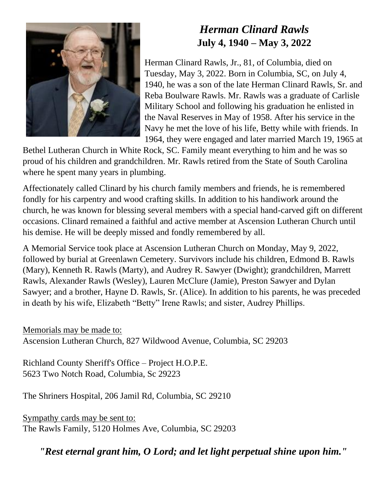

## *Herman Clinard Rawls* **July 4, 1940 – May 3, 2022**

Herman Clinard Rawls, Jr., 81, of Columbia, died on Tuesday, May 3, 2022. Born in Columbia, SC, on July 4, 1940, he was a son of the late Herman Clinard Rawls, Sr. and Reba Boulware Rawls. Mr. Rawls was a graduate of Carlisle Military School and following his graduation he enlisted in the Naval Reserves in May of 1958. After his service in the Navy he met the love of his life, Betty while with friends. In 1964, they were engaged and later married March 19, 1965 at

Bethel Lutheran Church in White Rock, SC. Family meant everything to him and he was so proud of his children and grandchildren. Mr. Rawls retired from the State of South Carolina where he spent many years in plumbing.

Affectionately called Clinard by his church family members and friends, he is remembered fondly for his carpentry and wood crafting skills. In addition to his handiwork around the church, he was known for blessing several members with a special hand-carved gift on different occasions. Clinard remained a faithful and active member at Ascension Lutheran Church until his demise. He will be deeply missed and fondly remembered by all.

A Memorial Service took place at Ascension Lutheran Church on Monday, May 9, 2022, followed by burial at Greenlawn Cemetery. Survivors include his children, Edmond B. Rawls (Mary), Kenneth R. Rawls (Marty), and Audrey R. Sawyer (Dwight); grandchildren, Marrett Rawls, Alexander Rawls (Wesley), Lauren McClure (Jamie), Preston Sawyer and Dylan Sawyer; and a brother, Hayne D. Rawls, Sr. (Alice). In addition to his parents, he was preceded in death by his wife, Elizabeth "Betty" Irene Rawls; and sister, Audrey Phillips.

Memorials may be made to: Ascension Lutheran Church, 827 Wildwood Avenue, Columbia, SC 29203

Richland County Sheriff's Office – Project H.O.P.E. 5623 Two Notch Road, Columbia, Sc 29223

The Shriners Hospital, 206 Jamil Rd, Columbia, SC 29210

Sympathy cards may be sent to: The Rawls Family, 5120 Holmes Ave, Columbia, SC 29203

*"Rest eternal grant him, O Lord; and let light perpetual shine upon him."*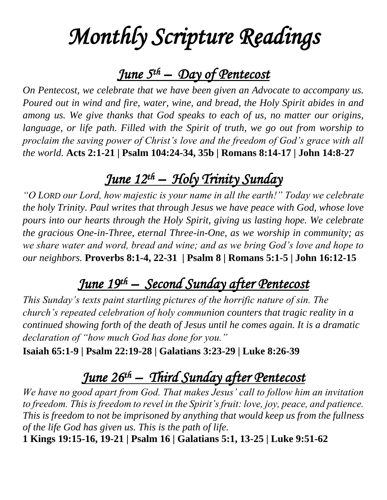## *Monthly Scripture Readings*

## *June 5th – Day of Pentecost*

*On Pentecost, we celebrate that we have been given an Advocate to accompany us. Poured out in wind and fire, water, wine, and bread, the Holy Spirit abides in and among us. We give thanks that God speaks to each of us, no matter our origins, language, or life path. Filled with the Spirit of truth, we go out from worship to proclaim the saving power of Christ's love and the freedom of God's grace with all the world.* **[Acts 2:1-21](https://members.sundaysandseasons.com/?date=2022-6&eventDateId=0) | [Psalm 104:24-34, 35b](https://members.sundaysandseasons.com/?date=2022-6&eventDateId=0) | [Romans 8:14-17](https://members.sundaysandseasons.com/?date=2022-6&eventDateId=0) | [John 14:8-27](https://members.sundaysandseasons.com/?date=2022-6&eventDateId=0)**

## *June 12th – Holy Trinity Sunday*

*"O LORD our Lord, how majestic is your name in all the earth!" Today we celebrate the holy Trinity. Paul writes that through Jesus we have peace with God, whose love pours into our hearts through the Holy Spirit, giving us lasting hope. We celebrate the gracious One-in-Three, eternal Three-in-One, as we worship in community; as we share water and word, bread and wine; and as we bring God's love and hope to our neighbors.* **[Proverbs 8:1-4, 22-31](https://members.sundaysandseasons.com/Home/Index/2022-6-12/0) | [Psalm](https://members.sundaysandseasons.com/Home/Index/2022-3-6/0) 8 | [Romans 5:1-5](https://members.sundaysandseasons.com/Home/Index/2022-6-12/0) | [John 16:12-15](https://members.sundaysandseasons.com/Home/Index/2022-6-12/0)**

## *June 19th – Second Sunday after Pentecost*

*This Sunday's texts paint startling pictures of the horrific nature of sin. The church's repeated celebration of holy communion counters that tragic reality in a continued showing forth of the death of Jesus until he comes again. It is a dramatic declaration of "how much God has done for you."* 

**[Isaiah 65:1-9](https://members.sundaysandseasons.com/Home/Index/2022-6-19/0) | [Psalm 22:19-28](https://members.sundaysandseasons.com/Home/Index/2022-6-19/0) | [Galatians 3:23-29](https://members.sundaysandseasons.com/Home/Index/2022-6-19/0) | [Luke 8:26-39](https://members.sundaysandseasons.com/Home/Index/2022-6-19/0)**

## *June 26th – Third Sunday after Pentecost*

*We have no good apart from God. That makes Jesus' call to follow him an invitation to freedom. This is freedom to revel in the Spirit's fruit: love, joy, peace, and patience. This is freedom to not be imprisoned by anything that would keep us from the fullness of the life God has given us. This is the path of life.* 

**[1 Kings 19:15-16, 19-21](https://members.sundaysandseasons.com/Home/Index/2022-6-26/0) | [Psalm 16](https://members.sundaysandseasons.com/Home/Index/2022-6-26/0) | [Galatians 5:1, 13-25](https://members.sundaysandseasons.com/Home/Index/2022-6-26/0) | [Luke 9:51-62](https://members.sundaysandseasons.com/Home/Index/2022-6-26/0)**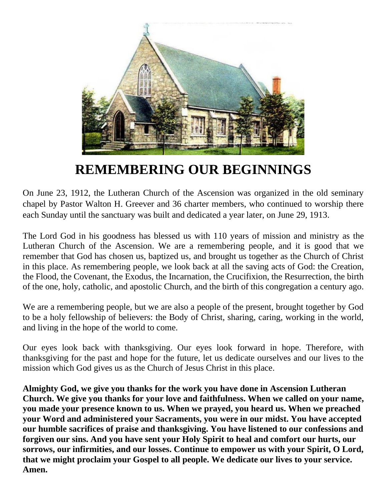

## **REMEMBERING OUR BEGINNINGS**

On June 23, 1912, the Lutheran Church of the Ascension was organized in the old seminary chapel by Pastor Walton H. Greever and 36 charter members, who continued to worship there each Sunday until the sanctuary was built and dedicated a year later, on June 29, 1913.

The Lord God in his goodness has blessed us with 110 years of mission and ministry as the Lutheran Church of the Ascension. We are a remembering people, and it is good that we remember that God has chosen us, baptized us, and brought us together as the Church of Christ in this place. As remembering people, we look back at all the saving acts of God: the Creation, the Flood, the Covenant, the Exodus, the Incarnation, the Crucifixion, the Resurrection, the birth of the one, holy, catholic, and apostolic Church, and the birth of this congregation a century ago.

We are a remembering people, but we are also a people of the present, brought together by God to be a holy fellowship of believers: the Body of Christ, sharing, caring, working in the world, and living in the hope of the world to come.

Our eyes look back with thanksgiving. Our eyes look forward in hope. Therefore, with thanksgiving for the past and hope for the future, let us dedicate ourselves and our lives to the mission which God gives us as the Church of Jesus Christ in this place.

**Almighty God, we give you thanks for the work you have done in Ascension Lutheran Church. We give you thanks for your love and faithfulness. When we called on your name, you made your presence known to us. When we prayed, you heard us. When we preached your Word and administered your Sacraments, you were in our midst. You have accepted our humble sacrifices of praise and thanksgiving. You have listened to our confessions and forgiven our sins. And you have sent your Holy Spirit to heal and comfort our hurts, our sorrows, our infirmities, and our losses. Continue to empower us with your Spirit, O Lord, that we might proclaim your Gospel to all people. We dedicate our lives to your service. Amen.**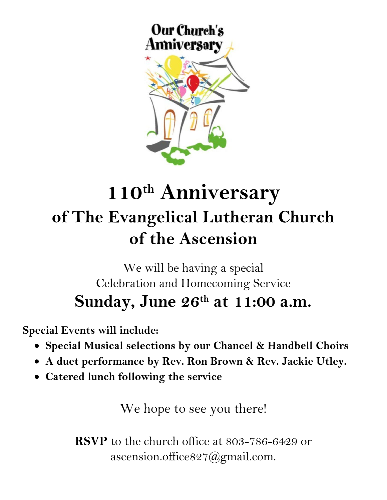

## **110th Anniversary of The Evangelical Lutheran Church of the Ascension**

## We will be having a special Celebration and Homecoming Service **Sunday, June 26th at 11:00 a.m.**

**Special Events will include:**

- **Special Musical selections by our Chancel & Handbell Choirs**
- **A duet performance by Rev. Ron Brown & Rev. Jackie Utley.**
- **Catered lunch following the service**

We hope to see you there!

**RSVP** to the church office at 803-786-6429 or [ascension.office827@gmail.com.](mailto:ascension.office827@gmail.com)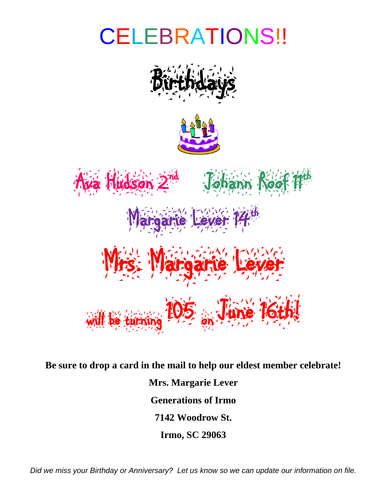## CELEBRATIONS!!







**Be sure to drop a card in the mail to help our eldest member celebrate! Mrs. Margarie Lever Generations of Irmo 7142 Woodrow St. Irmo, SC 29063**

*Did we miss your Birthday or Anniversary? Let us know so we can update our information on file.*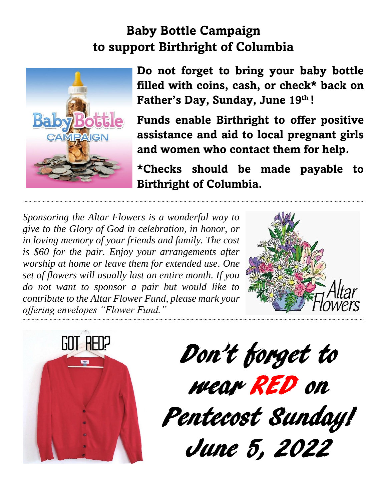## **Baby Bottle Campaign to support Birthright of Columbia**



**Do not forget to bring your baby bottle filled with coins, cash, or check\* back on Father's Day, Sunday, June 19th !** 

**Funds enable Birthright to offer positive assistance and aid to local pregnant girls and women who contact them for help.**

**\*Checks should be made payable to Birthright of Columbia.** 

*Sponsoring the Altar Flowers is a wonderful way to give to the Glory of God in celebration, in honor, or in loving memory of your friends and family. The cost is \$60 for the pair. Enjoy your arrangements after worship at home or leave them for extended use. One set of flowers will usually last an entire month. If you do not want to sponsor a pair but would like to contribute to the Altar Flower Fund, please mark your offering envelopes "Flower Fund."* 





Don't forget to wear RED on Pentecost Sunday! June 5, 2022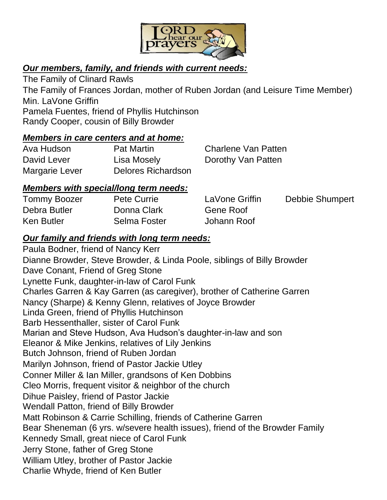

#### *Our members, family, and friends with current needs:*

The Family of Clinard Rawls The Family of Frances Jordan, mother of Ruben Jordan (and Leisure Time Member) Min. LaVone Griffin Pamela Fuentes, friend of Phyllis Hutchinson Randy Cooper, cousin of Billy Browder

#### *Members in care centers and at home:*

| Ava Hudson     | <b>Pat Martin</b>  | <b>Charlene Van Patten</b> |
|----------------|--------------------|----------------------------|
| David Lever    | Lisa Mosely        | Dorothy Van Patten         |
| Margarie Lever | Delores Richardson |                            |

#### *Members with special/long term needs:*

| <b>Tommy Boozer</b> | <b>Pete Currie</b> | LaVone Griffin | Debbie Shumpert |
|---------------------|--------------------|----------------|-----------------|
| Debra Butler        | Donna Clark        | Gene Roof      |                 |
| <b>Ken Butler</b>   | Selma Foster       | Johann Roof    |                 |

#### *Our family and friends with long term needs:*

Paula Bodner, friend of Nancy Kerr Dianne Browder, Steve Browder, & Linda Poole, siblings of Billy Browder Dave Conant, Friend of Greg Stone Lynette Funk, daughter-in-law of Carol Funk Charles Garren & Kay Garren (as caregiver), brother of Catherine Garren Nancy (Sharpe) & Kenny Glenn, relatives of Joyce Browder Linda Green, friend of Phyllis Hutchinson Barb Hessenthaller, sister of Carol Funk Marian and Steve Hudson, Ava Hudson's daughter-in-law and son Eleanor & Mike Jenkins, relatives of Lily Jenkins Butch Johnson, friend of Ruben Jordan Marilyn Johnson, friend of Pastor Jackie Utley Conner Miller & Ian Miller, grandsons of Ken Dobbins Cleo Morris, frequent visitor & neighbor of the church Dihue Paisley, friend of Pastor Jackie Wendall Patton, friend of Billy Browder Matt Robinson & Carrie Schilling, friends of Catherine Garren Bear Sheneman (6 yrs. w/severe health issues), friend of the Browder Family Kennedy Small, great niece of Carol Funk Jerry Stone, father of Greg Stone William Utley, brother of Pastor Jackie Charlie Whyde, friend of Ken Butler